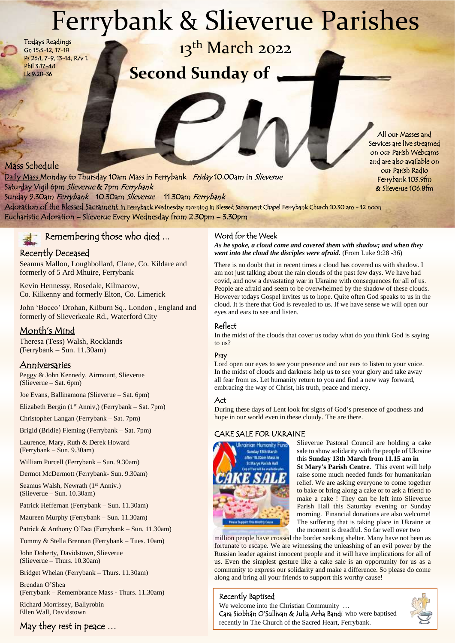# Ferrybank & Slieverue Parishes

Todays Readings Gn 15:5-12, 17-18 Ps 26:1, 7-9, 13-14, R/v 1. Phil 3:17-4:1 Lk 9:28-36

13<sup>th</sup> March 2022

**Second Sunday of**

Today's Readings

# Mass Schedule

Daily Mass Monday to Thursday 10am Mass in Ferrybank Friday 10.00am in Slieverue Saturday Vigil 6pm Slieverue & 7pm Ferrybank Sunday 9.30am Ferrybank 10.30am Slieverue 11.30am Ferrybank Adoration of the Blessed Sacrament in Ferrybank Wednesday morning in Blessed Sacrament Chapel Ferrybank Church 10.30 am - 12 noon Eucharistic Adoration – Slieverue Every Wednesday from 2.30pm – 3.30pm

# Remembering those who died ...

## **Example 2.30 Pecently Deceased Figure 2.30 Pecently Deceased Figure 2.30** *Venti into the c*

Seamus Mallon, Loughbollard, Clane, Co. Kildare and formerly of 5 Ard Mhuire, Ferrybank

Kevin Hennessy, Rosedale, Kilmacow, Co. Kilkenny and formerly Elton, Co. Limerick

John 'Bocco' Drohan, Kilburn Sq., London , England and formerly of Slieverkeale Rd., Waterford City

## Month's Mind

Theresa (Tess) Walsh, Rocklands (Ferrybank – Sun. 11.30am)

### **Anniversaries**

Peggy & John Kennedy, Airmount, Slieverue (Slieverue – Sat. 6pm)

Joe Evans, Ballinamona (Slieverue – Sat. 6pm)

Elizabeth Bergin (1<sup>st</sup> Anniy.) (Ferrybank – Sat. 7pm)

Christopher Langan (Ferrybank – Sat. 7pm)

Brigid (Bridie) Fleming (Ferrybank – Sat. 7pm)

Laurence, Mary, Ruth & Derek Howard (Ferrybank – Sun. 9.30am)

William Purcell (Ferrybank – Sun. 9.30am)

Dermot McDermott (Ferrybank- Sun. 9.30am)

Seamus Walsh, Newrath (1<sup>st</sup> Anniv.) (Slieverue – Sun. 10.30am)

Patrick Heffernan (Ferrybank – Sun. 11.30am)

Maureen Murphy (Ferrybank – Sun. 11.30am)

Patrick & Anthony O'Dea (Ferrybank – Sun. 11.30am)

Tommy & Stella Brennan (Ferrybank – Tues. 10am)

John Doherty, Davidstown, Slieverue (Slieverue – Thurs. 10.30am)

Bridget Whelan (Ferrybank – Thurs. 11.30am)

Brendan O'Shea (Ferrybank – Remembrance Mass - Thurs. 11.30am) Richard Morrissey, Ballyrobin

Ellen Wall, Davidstown

## May they rest in peace …

#### Word for the Week

*As he spoke, a cloud came and covered them with shadow; and when they went into the cloud the disciples were afraid.* (From Luke 9:28 -36)

There is no doubt that in recent times a cloud has covered us with shadow. I am not just talking about the rain clouds of the past few days. We have had covid, and now a devastating war in Ukraine with consequences for all of us. People are afraid and seem to be overwhelmed by the shadow of these clouds. However todays Gospel invites us to hope. Quite often God speaks to us in the cloud. It is there that God is revealed to us. If we have sense we will open our eyes and ears to see and listen.

#### Reflect

In the midst of the clouds that cover us today what do you think God is saying to us?

#### Pray

Lord open our eyes to see your presence and our ears to listen to your voice. In the midst of clouds and darkness help us to see your glory and take away all fear from us. Let humanity return to you and find a new way forward, embracing the way of Christ, his truth, peace and mercy.

#### Act

During these days of Lent look for signs of God's presence of goodness and hope in our world even in these cloudy. The are there.

#### CAKE SALE FOR UKRAINE



Slieverue Pastoral Council are holding a cake sale to show solidarity with the people of Ukraine this **Sunday 13th March from 11.15 am in St Mary's Parish Centre.** This event will help raise some much needed funds for humanitarian relief. We are asking everyone to come together to bake or bring along a cake or to ask a friend to make a cake ! They can be left into Slieverue Parish Hall this Saturday evening or Sunday morning. Financial donations are also welcome! The suffering that is taking place in Ukraine at the moment is dreadful. So far well over two

million people have crossed the border seeking shelter. Many have not been as fortunate to escape. We are witnessing the unleashing of an evil power by the Russian leader against innocent people and it will have implications for all of us. Even the simplest gesture like a cake sale is an opportunity for us as a community to express our solidarity and make a difference. So please do come along and bring all your friends to support this worthy cause!

#### Recently Baptised

recently in The Church of the Sacred Heart, Ferrybank. We welcome into the Christian Community … Cara Siobhán O'Sullivan & Julia Arha Bandi who were baptised



All our Masses and Services are live streamed on our Parish Webcams and are also available on our Parish Radio Ferrybank 103.9fm & Slieverue 106.8fm